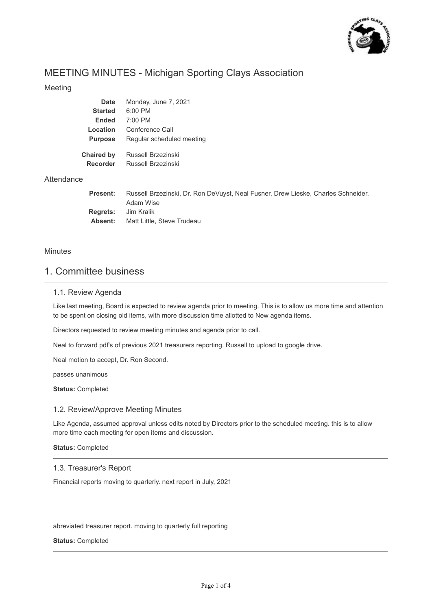

# MEETING MINUTES - Michigan Sporting Clays Association

### Meeting

| <b>Date</b>       | Monday, June 7, 2021                                                                           |
|-------------------|------------------------------------------------------------------------------------------------|
| <b>Started</b>    | 6:00 PM                                                                                        |
| <b>Ended</b>      | 7:00 PM                                                                                        |
| Location          | Conference Call                                                                                |
| <b>Purpose</b>    | Regular scheduled meeting                                                                      |
| <b>Chaired by</b> | Russell Brzezinski                                                                             |
| <b>Recorder</b>   | Russell Brzezinski                                                                             |
|                   |                                                                                                |
| <b>Present:</b>   | Russell Brzezinski, Dr. Ron DeVuyst, Neal Fusner, Drew Lieske, Charles Schneider,<br>Adam Wise |
| <b>Regrets:</b>   | Jim Kralik                                                                                     |

### Minutes

**Attendance** 

## 1. Committee business

**Absent:**

#### 1.1. Review Agenda

Like last meeting, Board is expected to review agenda prior to meeting. This is to allow us more time and attention to be spent on closing old items, with more discussion time allotted to New agenda items.

Directors requested to review meeting minutes and agenda prior to call.

Matt Little, Steve Trudeau

Neal to forward pdf's of previous 2021 treasurers reporting. Russell to upload to google drive.

Neal motion to accept, Dr. Ron Second.

passes unanimous

**Status:** Completed

#### 1.2. Review/Approve Meeting Minutes

Like Agenda, assumed approval unless edits noted by Directors prior to the scheduled meeting. this is to allow more time each meeting for open items and discussion.

**Status:** Completed

#### 1.3. Treasurer's Report

Financial reports moving to quarterly. next report in July, 2021

abreviated treasurer report. moving to quarterly full reporting

#### **Status:** Completed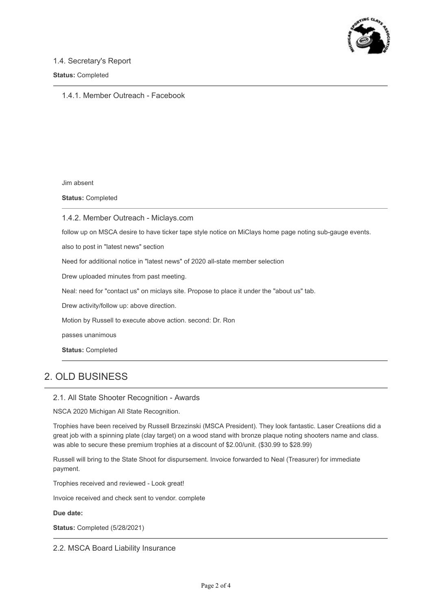

### 1.4. Secretary's Report

#### **Status:** Completed

1.4.1. Member Outreach - Facebook

Jim absent

**Status:** Completed

1.4.2. Member Outreach - Miclays.com

follow up on MSCA desire to have ticker tape style notice on MiClays home page noting sub-gauge events.

also to post in "latest news" section

Need for additional notice in "latest news" of 2020 all-state member selection

Drew uploaded minutes from past meeting.

Neal: need for "contact us" on miclays site. Propose to place it under the "about us" tab.

Drew activity/follow up: above direction.

Motion by Russell to execute above action. second: Dr. Ron

passes unanimous

**Status:** Completed

# 2. OLD BUSINESS

#### 2.1. All State Shooter Recognition - Awards

NSCA 2020 Michigan All State Recognition.

Trophies have been received by Russell Brzezinski (MSCA President). They look fantastic. Laser Creatiions did a great job with a spinning plate (clay target) on a wood stand with bronze plaque noting shooters name and class. was able to secure these premium trophies at a discount of \$2.00/unit. (\$30.99 to \$28.99)

Russell will bring to the State Shoot for dispursement. Invoice forwarded to Neal (Treasurer) for immediate payment.

Trophies received and reviewed - Look great!

Invoice received and check sent to vendor. complete

**Due date:**

**Status:** Completed (5/28/2021)

2.2. MSCA Board Liability Insurance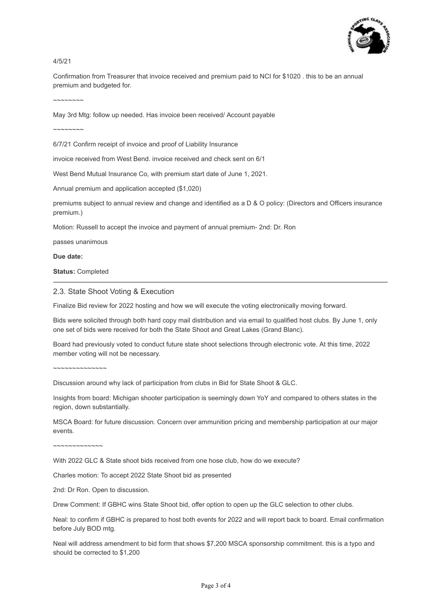

4/5/21

Confirmation from Treasurer that invoice received and premium paid to NCI for \$1020 . this to be an annual premium and budgeted for.

 $\sim$ ~~~~~~

May 3rd Mtg: follow up needed. Has invoice been received/ Account payable

 $\sim$ ~~~~~~

6/7/21 Confirm receipt of invoice and proof of Liability Insurance

invoice received from West Bend. invoice received and check sent on 6/1

West Bend Mutual Insurance Co, with premium start date of June 1, 2021.

Annual premium and application accepted (\$1,020)

premiums subject to annual review and change and identified as a D & O policy: (Directors and Officers insurance premium.)

Motion: Russell to accept the invoice and payment of annual premium- 2nd: Dr. Ron

passes unanimous

**Due date:**

**Status:** Completed

#### 2.3. State Shoot Voting & Execution

Finalize Bid review for 2022 hosting and how we will execute the voting electronically moving forward.

Bids were solicited through both hard copy mail distribution and via email to qualified host clubs. By June 1, only one set of bids were received for both the State Shoot and Great Lakes (Grand Blanc).

Board had previously voted to conduct future state shoot selections through electronic vote. At this time, 2022 member voting will not be necessary.

~~~~~~~~~~~~~~

Discussion around why lack of participation from clubs in Bid for State Shoot & GLC.

Insights from board: Michigan shooter participation is seemingly down YoY and compared to others states in the region, down substantially.

MSCA Board: for future discussion. Concern over ammunition pricing and membership participation at our major events.

~~~~~~~~~~~~~

With 2022 GLC & State shoot bids received from one hose club, how do we execute?

Charles motion: To accept 2022 State Shoot bid as presented

2nd: Dr Ron. Open to discussion.

Drew Comment: If GBHC wins State Shoot bid, offer option to open up the GLC selection to other clubs.

Neal: to confirm if GBHC is prepared to host both events for 2022 and will report back to board. Email confirmation before July BOD mtg.

Neal will address amendment to bid form that shows \$7,200 MSCA sponsorship commitment. this is a typo and should be corrected to \$1,200